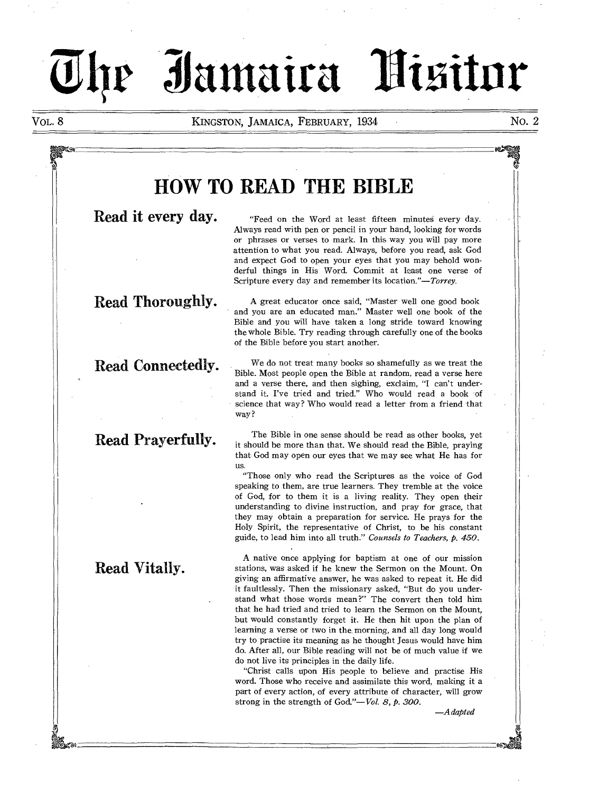# **al Mai A: -mita bittrir**

VOL. 8 KINGSTON, JAMAICA, FEBRUARY, 1934 NO. 2

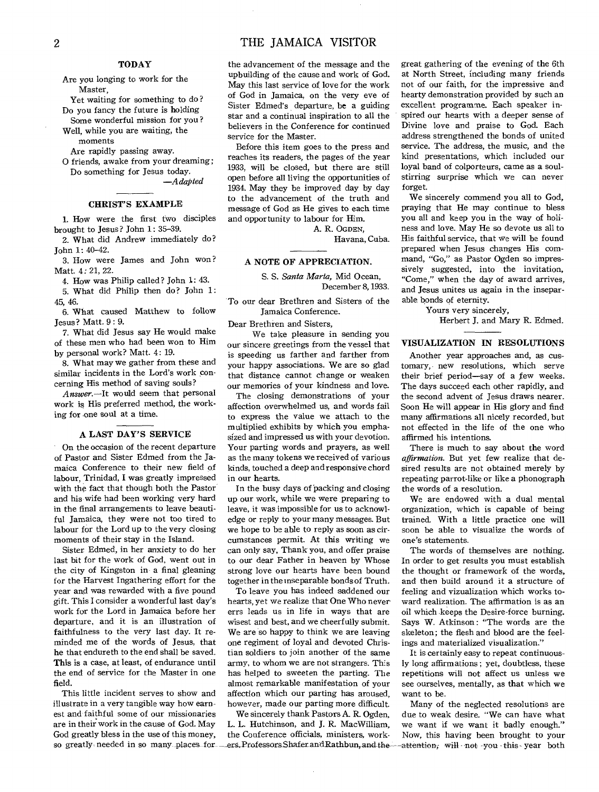Are you longing to work for the Master,

Yet waiting for something to do ? Do you fancy the future is holding

Some wonderful mission for you? Well, while you are waiting, the moments

Are rapidly passing away. **0** friends, awake from your dreaming;

Do something for Jesus today. *—Adapted* 

# **CHRIST'S EXAMPLE**

1. How were the first two disciples brought to Jesus? John 1: 35-39.

2. What did Andrew immediately do? John 1: 40-42.

3. How were James and John won? Matt. 4: 21, 22.

4. How was Philip called ? John 1: 43.

5. What did Philip then do? John 1: 45, 46.

6. What caused Matthew to follow Jesus? Matt. 9: 9.

7. What did Jesus say He would make of these men who had been won to Him by personal work? Matt. 4: 19.

8. What may we gather from these and similar incidents in the Lord's work concerning His method of saving souls?

*Answer.—It* would seem that personal work is His preferred method, the working for one soul at a time.

# **A LAST DAY'S SERVICE**

On the occasion of the recent departure of Pastor and Sister Edmed from the Jamaica Conference to their new field of labour, Trinidad, I was greatly impressed with the fact that though both the Pastor and his wife had been working very hard in the final arrangements to leave beautiful Jamaica, they were not too tired to labour for the Lord up to the very closing moments of their stay in the Island.

Sister Edmed, in her anxiety to do her last bit for the work of God, went out in the city of Kingston in a final gleaning for the Harvest Ingathering effort for the year and was rewarded with a five pound gift. This I consider a wonderful last day's work for the Lord in Jamaica before her departure, and it is an illustration of faithfulness to the very last day. It reminded me of the words of Jesus, that **he** that endureth to the end shall be saved. **This is** a case, at least, of endurance until **the** end of service for the Master in one field.

This little incident serves to show and illustrate in a very tangible way how earnest and faithful some of our missionaries are in their work in the cause of God. May God greatly bless in the use of this money, so greatly needed in so many places for ... ers, Professors Shafer and Rathbun, and the-

the advancement of the message and the upbuilding of the cause and work of God. May this last service of love for the work of God in Jamaica, on the very eve of Sister Edmed's departure, be a guiding star and a continual inspiration to all the believers in the Conference for continued service for the Master.

Before this item goes to the press and reaches its readers, the pages of the year 1933, will be closed, but there are still open before all living the opportunities of 1934. May they be improved day by day to the advancement of the truth and message of God as He gives to each time and opportunity to labour for Him.

A. R. OGDEN,

Havana, Cuba.

# **A NOTE OF APPRECIATION.**

S. S. *Santa Marta,* Mid Ocean, December 8, 1933.

To our dear Brethren and Sisters of the Jamaica Conference.

Dear Brethren and Sisters,

We take pleasure in sending you our sincere greetings from the vessel that is speeding us farther and farther from your happy associations. We are so glad that distance cannot change or weaken our memories of your kindness and love.

The closing demonstrations of your affection overwhelmed us, and words fail to express the value we attach to the multiplied exhibits by which you emphasized and impressed us with your devotion. Your parting words and prayers, as well as the many tokens we received of various kinds, touched a deep and responsive chord in our hearts.

In the busy days of packing and closing up our work, while we were preparing to leave, it was impossible for us to acknowledge or reply to your many messages. But we hope to be able to reply as soon as circumstances permit. At this writing we can only say, Thank you, and offer praise to our dear Father in heaven by Whose strong love our hearts have been bound together in the nseparable bonds of Truth.

To leave you has indeed saddened our hearts, yet we realize that One Who never errs leads us in life in ways that are wisest and best, and we cheerfully submit. We are so happy to think we are leaving one regiment of loyal and devoted Christian soldiers to join another of the same army, to whom we are not strangers. This has helped to sweeten the parting. The almost remarkable manifestation of your affection which our parting has aroused, however, made our parting more difficult.

We sincerely thank Pastors A. R. Ogden, L. L. Hutchinson, and J. R. MacWilliam, the Conference officials, ministers, workgreat gathering of the evening of the 6th at North Street, including many friends not of our faith, for the impressive and hearty demonstration provided by such an excellent programme. Each speaker inspired our hearts with a deeper sense of Divine love and praise to God. Each address strengthened the bonds of united service. The address, the music, and the kind presentations, which included our loyal band of colporteurs, came as a soulstirring surprise which we can never forget.

We sincerely commend you all to God, praying that He may continue to bless you all and keep you in the way of holiness and love. May He so devote us all to His faithful service, that we will be found prepared when Jesus changes His command, "Go," as Pastor Ogden so impressively suggested, into the invitation, "Come," when the day of award arrives, and Jesus unites us again in the inseparable bonds of eternity.

Yours very sincerely,

Herbert J. and Mary R. Edmed.

# **VISUALIZATION IN RESOLUTIONS**

Another year approaches and, as customary, new resolutions, which serve their brief period—say of a few weeks. The days succeed each other rapidly, and the second advent of Jesus draws nearer. Soon He will appear in His glory and find many affirmations all nicely recorded, but not effected in the life of the one who affirmed his intentions.

There is much to say about the word *affirmation.* But yet few realize that desired results are not obtained merely by repeating parrot-like or like a phonograph the words of a resolution.

We are endowed with a dual mental organization, which is capable of being trained. With a little practice one will soon be able to visualize the words of one's statements.

The words of themselves are nothing. In order to get results you must establish the thought or framework of the words, and then build around it a structure of feeling and vizualization which works toward realization. The affirmation is as an oil which .keeps the Desire-force burning. Says W. Atkinson : "The words are the skeleton; the flesh and blood are the feelings and materialized visualization."

It is certainly easy to repeat continuously long affirmations ; yet, doubtless, these repetitions will not affect us unless we see ourselves, mentally, as that which we want to be.

Many of the neglected resolutions are due to weak desire. "We can have what we want if we want it badly enough." *Now,* this having been brought to your -attention; will not you this year both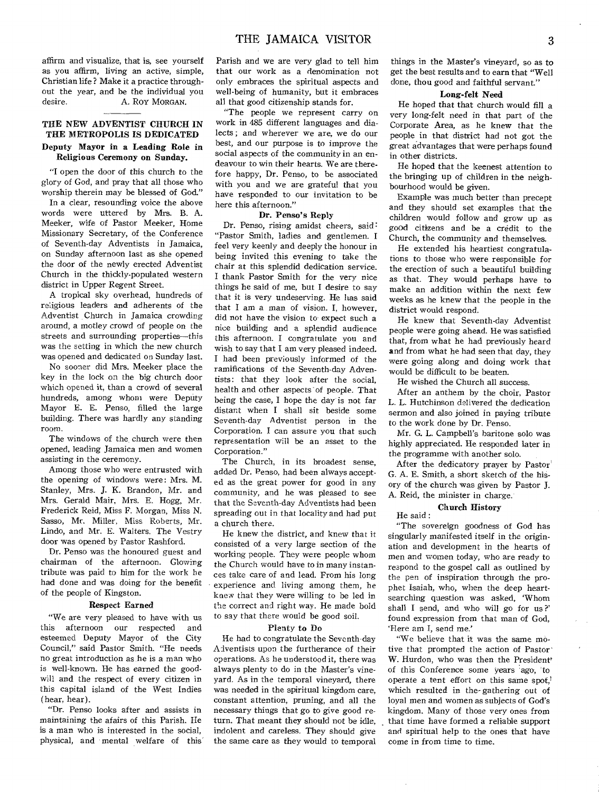affirm and visualize, that is, see yourself as you affirm, living an active, simple, Christian life ? Make it a practice throughout the year, and be the individual you desire.<br>A. Roy Morgan. A. ROY MORGAN.

# **THE NEW ADVENTIST CHURCH IN THE METROPOLIS IS DEDICATED Deputy Mayor in a Leading Role in Religious Ceremony on Sunday.**

"I open the door of this church to the glory of God, and pray that all those who worship therein may be blessed of God."

In a clear, resounding voice the above words were uttered by Mrs. B. A. Meeker, wife of Pastor Meeker, Home Missionary Secretary, of the Conference of Seventh-day Adventists in Jamaica, on Sunday afternoon last as she opened the door of the newly erected Adventist Church in the thickly-populated western district in Upper Regent Street.

A tropical sky overhead, hundreds of religious leaders and adherents of the Adventist Church in Jamaica crowding around, a motley crowd of people on the streets and surrounding properties—this was the setting in which the new church was opened and dedicated on Sunday last.

No sooner did Mrs. Meeker place the key in the lock on the big church door which opened it, than a crowd of several hundreds, among whom were Deputy Mayor E. E. Penso, filled the large building. There was hardly any standing room.

The windows of the church were then opened, leading Jamaica men and women assisting in the ceremony.

Among those who were entrusted with the opening of windows were: Mrs. M. Stanley, Mrs. **J. K.** Brandon, Mr. and Mrs. Gerald Mair, Mrs. E. Hogg, Mr. Frederick Reid, Miss F. Morgan, Miss N. Sasso, Mr. Miller, Miss Roberts, Mr. Lindo, and Mr. E. Walters. The Vestry door was opened by Pastor Rashford.

Dr. Penso was the honoured guest and chairman of the afternoon. Glowing tribute was paid to him for the work he had done and was doing for the benefit of the people of Kingston.

# **Respect Earned**

"We are very pleased to have with us this afternoon our respected and esteemed Deputy Mayor of the City Council," said Pastor Smith. "He needs no great introduction as, he is a man who is well-known. He has earned the goodwill and the respect of every citizen in this capital island of the West Indies (hear, hear).

"Dr. Penso looks after and assists in maintaining the afairs of this Parish. He is a man who is interested in the social, physical, and mental welfare of this' Parish and we are very glad to tell him that our work as a denomination not only embraces the spiritual aspects and well-being of humanity, but it embraces all that good citizenship stands for.

"The people we represent carry on work in 485 different languages and dialects ; and wherever we are, we do our best, and our purpose is to improve the social aspects of the community in an endeavour to win their hearts. We are therefore happy, Dr. Penso, to be associated with you and we are grateful that you have responded to our invitation to be here this afternoon."

# **Dr. Penso's Reply**

Dr. Penso, rising amidst cheers, said "Pastor Smith, ladies and gentlemen. I feel very keenly and deeply the honour in being invited this evening to take the chair at this splendid dedication service. I thank Pastor Smith for the very nice things he said of me, but I desire to say that it is very undeserving. He has said that I am a man of vision. I, however, did not have the vision to expect such a nice building and a splendid audience this afternoon. I congratulate you and wish to say that I am very pleased indeed. I had been previously informed of the ramifications of the Seventh-day Adventists: that they look after the social, health and other aspects of people. That being the case, I hope the day is not far distant when I shall sit beside some Seventh-day Adventist person in the Corporation. I can assure you that such representation will be an asset to the Corporation."

The Church, in its broadest sense, added Dr. Penso, had been always accepted as the great power for good in any community, and he was pleased to see that the Seventh-day Adventists had been spreading out in that locality and had put a church there.

He knew the district, and knew that it consisted of a very large section of the working people. They were people whom the Church would have to in many instances take care of and lead. From his long experience and living among them, he knew that they were willing to be led in the correct and right way. He made bold to say that there would be good soil.

#### Plenty **to Do**

He had to congratulate the Seventh-day Adventists upon the furtherance of their operations. As he understood it, there was always plenty to do in the Master's vineyard. As in the temporal vineyard, there was needed in the spiritual kingdom care, constant attention, pruning, and all the necessary things that **go to** give good return. That meant they **should** not be idle, indolent and careless. **They should** give the same care as they would to temporal

things in the Master's vineyard, so as to get the best results and to earn that "Well done, thou good and faithful servant."

## **Long-felt Need**

He hoped that that church would **fill a**  very long-felt need in that part of the Corporate Area, as he knew that the people in that district had not got the great advantages that were perhaps found in other districts.

He hoped that the keenest attention to the bringing up of children in the neighbourhood would be given.

Example was much better than precept and they should set examples that the children would follow and grow up as good citizens and be a credit to the Church, the community and themselves.

He extended his heartiest congratulations to those who were responsible for the erection of such a beautiful building as that. They would perhaps have to make an addition within the next few weeks as he knew that the people in the district would respond.

He knew that Seventh-day Adventist people were going ahead. He was satisfied that, from what he had previously heard and from what he had seen that day, they were going along and doing work that would be difficult to be beaten.

He wished the Church all success.

After an anthem by the choir, Pastor **L. L.** Hutchinson delivered the dedication sermon and also joined in paying tribute to the work done by Dr. Penso.

Mr. G. L. Campbell's baritone solo was highly appreciated. He responded later in the programme with another solo.

After the dedicatory prayer by Pastor G. A. E. Smith, a short sketch of the hisory of the church was given by Pastor J. A. Reid, the minister in charge.

#### **Church History**

#### He said :

"The sovereign goodness of God has singularly manifested itself in the origination and development in the hearts of men and women today, who are ready to respond to the gospel call as outlined by the pen of inspiration through the prophet Isaiah, who, when the deep heartsearching question was asked, 'Whom shall I send, and who will go for us ?' found expression from that man of God, `Here am 1, send me.'

"We believe that it was the same motive that prompted the action of Pastor' W. Hurdon, who was then the President' of this Conference some years ago, to operate a tent effort on this same spot, which resulted in the-gathering out of loyal men and women as subjects of God's kingdom. Many of those very ones from that time have formed a reliable support and spiritual help to the ones that have come in from time to time.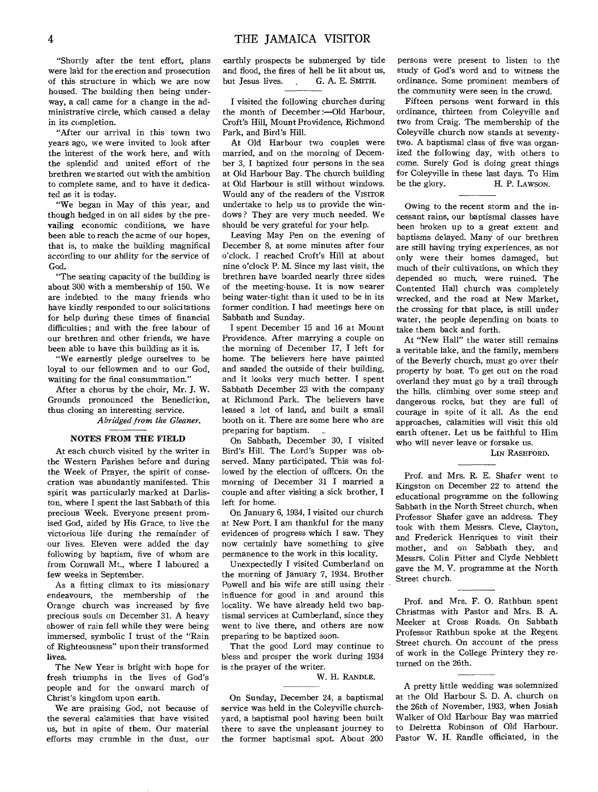"Shortly after the tent effort, plans were laid for the erection and prosecution of this structure in which we are now housed. The building then being underway, a call came for a change in the administrative circle, which caused a delay in its completion.

"After our arrival in this town two years ago, we were invited to look after the interest of the work here, and with the splendid and united effort of the brethren we started out with the ambition to complete same, and to have it dedicated as it is today.

"We began in May of this year, and though hedged in on all sides by the prevailing economic conditions, we have been able to reach the acme of our hopes, that is, to make the building magnifical according to our ability for the service of God.

"The seating capacity of the building is about 300 with a membership of 150. We are indebted to the many friends who have kindly responded to our solicitations for help during these times of financial difficulties; and with the free labour of our brethren and other friends, we have been able to have this building as it is.

"We earnestly pledge ourselves to be loyal to our fellowmen and to our God, waiting for the final consummation."

After a chorus by the choir, Mr. J. W. Grounds pronounced the Benediction, thus closing an interesting service.

*Abridged from the Gleaner.* 

### NOTES FROM THE FIELD

At each church visited by the writer in the Western Parishes before and during the Week of Prayer, the spirit of consecration was abundantly manifested. This spirit was particularly marked at Darliston, where I spent the last Sabbath of this precious Week. Everyone present promised God, aided by His Grace, to live the victorious life during the remainder of our lives. Eleven were added the day following by baptism, five of whom are from Cornwall Mt., where I laboured a few weeks in September.

As a fitting climax to its missionary endeavours, the membership of the Orange church was increased by five precious souls on December 31. A heavy shower of rain fell while they were being immersed, symbolic I trust of the "Rain of Righteousness" upon their transformed lives.

The New Year is bright with hope for fresh triumphs in the lives of God's people and for the onward march of Christ's kingdom upon earth.

We are praising God, not because of the several calamities that have visited us, but in spite of them. Our material efforts may crumble in the dust, our

earthly prospects be submerged by tide and flood, the fires of hell be lit about us, but Jesus lives. G. A. E. SMITH.

I visited the following churches during the month of December:—Old Harbour, Croft's Hill, Mount Providence, Richmond Park, and Bird's Hill.

At Old Harbour two couples were married, and on the morning of December 3, I baptized four persons in the sea at Old Harbour Bay. The church building at Old Harbour is still without windows. Would any of the readers of the VISITOR undertake to help us to provide the windows? They are very much needed. We should be very grateful for your help.

Leaving May Pen on the evening of December 8, at some minutes after four o'clock. I reached Croft's Hill at about nine o'clock P. M. Since my last visit, the brethren have boarded nearly three sides of the meeting-house. It is now nearer being water-tight than it used to be in its former condition. I had meetings here on Sabbath and Sunday.

I spent December 15 and 16 at Mount Providence. After marrying a couple on the morning of December 17, I left for home. The believers here have painted and sanded the outside of their building, and it looks very much better. I spent Sabbath December 23 with the company at Richmond Park. The believers have leased a lot of land, and built a small booth on it. There are some here who are preparing for baptism.

On Sabbath, December 30, I visited Bird's Hill. The Lord's Supper was observed. Many participated. This was followed by the election of officers. On the morning of December 31 I married a couple and after visiting a sick brother, I left for home.

On January 6, 1934, I visited our church at New Port. I am thankful for the many evidences of progress which I saw. They now certainly have something to give permanence to the work in this locality.

Unexpectedly I visited Cumberland on the morning of January 7, 1934. Brother Powell and his wife are still using their influence for good in and around this locality. We have already held two baptismal services at Cumberland, since they went to live there, and others are now preparing to be baptized soon.

That the good Lord may continue to bless and prosper the work during 1934 is the prayer of the writer.

W. H. RANDLE.

On Sunday, December 24, a baptismal service was held in the Coleyville churchyard, a baptismal pool having been built there to save the unpleasant journey to the former baptismal spot. About 200

persons were present to listen to the study of God's word and to witness the ordinance. Some prominent members of the community were seen in the crowd.

Fifteen persons went forward in this ordinance, thirteen from Coleyville and two from Craig. The membership of the Coleyville church now stands at seventytwo. A baptismal class of five was organized the following day, with others to come. Surely God is doing great things for Coleyville in these last days. To Him be the glory. H. P. LAWSON.

Owing to the recent storm and the incessant rains, our baptismal classes have been broken up to a great extent and baptisms delayed. Many of our brethren are still having trying experiences, as not only were their homes damaged, but much of their cultivations, on which they depended so much, were ruined. The Contented Hall church was completely wrecked, and the road at New Market, the crossing for that place, is still under water, the people depending on boats to take them back and forth.

At "New Hall" the water still remains a veritable lake, and the family, members of the Beverly church, must go over their property by boat. To get out on the road overland they must go by a trail through the hills, climbing over some steep and dangerous rocks, but they are full of courage in spite of it all. As the end approaches, calamities will visit this old earth oftener. Let us be faithful to Him who will never leave or forsake us.

# LIN RASHFORD.

Prof. and Mrs. R. E. Shafer went to Kingston on December 22 to attend the educational programme on the following Sabbath in the North Street church, when Professor Shafer gave an address. They took with them Messrs. Cleve, Clayton, and Frederick Henriques to visit their mother, and on Sabbath they, and Messrs. Colin Pitter and Clyde Nebblett gave the M. V. programme at the North Street church.

Prof. and Mrs. F. 0. Rathbun spent Christmas with Pastor and Mrs. B. A. Meeker at Cross Roads. On Sabbath Professor Rathbun spoke at the Regent Street church. On account of the press of work in the College Printery they returned on the 26th.

A pretty little wedding was solemnized at the Old Harbour S. D. A. church on the 26th of November, 1933, when Josiah Walker of Old Harbour Bay was married to Delretta Robinson of Old Harbour. Pastor W. H. Randle officiated, in the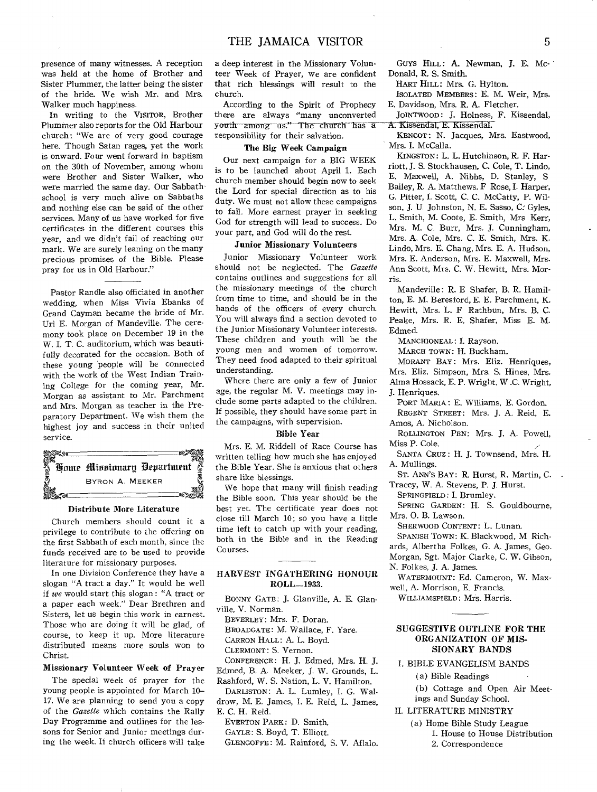presence of many witnesses. A reception was held at the home of Brother and Sister Plummer, the latter being the sister of the bride. We wish Mr. and Mrs. Walker much happiness.

In writing to the VISITOR, Brother Plummer also reports for the Old Harbour church: "We are of very good courage here. Though Satan rages, yet the work is onward. Four went forward in baptism on the 30th of November, among whom were Brother and Sister Walker, who were married the same day. Our Sabbathschool is very much alive on Sabbaths and nothing else can be said of the other services. Many of us have worked for five certificates in the different courses this year, and we didn't fail of reaching our mark. We are surely leaning on the many precious promises of the Bible. Please pray for us in Old Harbour."

Pastor Randle also officiated in another wedding, when Miss Vivia Ebanks of Grand Cayman became the bride of Mr. Uri E. Morgan of Mandeville. The ceremony took place on December 19 in the W. I. T. C. auditorium, which was beautifully decorated for the occasion. Both of these young people will be connected with the work of the West Indian Training College for the coming year, Mr. Morgan as assistant to Mr. Parchment and Mrs. Morgan as teacher in the Preparatory Department. We wish them the highest joy and success in their united service.



#### **Distribute More Literature**

Church members should count it a privilege to contribute to the offering on the first Sabbath of each month, since the funds received are to be used to provide literature for missionary purposes.

In one Division Conference they have a slogan "A tract a day." It would be well if we would start this slogan : "A tract or a paper each week." Dear Brethren and Sisters, let us begin this work in earnest. Those who are doing it will be glad, of course, to keep it up. More literature distributed means more souls won to Christ.

### **Missionary Volunteer Week of Prayer**

The special week of prayer for the young people is appointed for March 10- 17. We are planning to send you a copy of the Gazette which contains the Rally Day Programme and outlines for the lessons for Senior and Junior meetings during the week. If church officers will take

**a** deep interest in the Missionary Volunteer Week of Prayer, we are confident that rich blessings will result to the church.

According to the Spirit of Prophecy there are always "many unconverted youth among us." The church has a responsibility for their salvation.

#### **The Big Week Campaign**

Our next campaign for a BIG WEEK is to be launched about April 1. Each church member should begin now to seek the Lord for special direction as to his duty. We must not allow these campaigns to fail. More earnest prayer in seeking God for strength will lead to success. Do your part, and God will do the rest.

### **Junior Missionary Volunteers**

Junior Missionary Volunteer work should not be neglected. The Gazette contains outlines and suggestions for all the missionary meetings of the church from time to time, and should be in the hands of the officers of every church. You will always find a section devoted to the Junior Missionary Volunteer interests. These children and youth will be the young men and women of tomorrow. They need food adapted to their spiritual understanding.

Where there are only a few of Junior age, the regular M. V. meetings may include some parts adapted to the children. If possible, they should have some part in the campaigns, with supervision.

# **Bible Year**

Mrs. E. M. Riddell of Race Course has written telling how much she has enjoyed the Bible Year. She is anxious that others share like blessings.

We hope that many will finish reading the Bible soon. This year should be the best yet. The certificate year does not close till March 10; so you have a little time left to catch up with your reading, both in the Bible and in the Reading Courses.

# **HARVEST INGATHERING HONOUR ROLL-1933.**

BONNY GATE: J. Glanville, A. E. Glanville, V. Norman.

BEVERLEY: Mrs. F. Doran.

BROADGATE: M. Wallace, F. Yare. CARRON HALL: A. L. Boyd.

CLERMONT: S. Vernon.

CONFERENCE: H. J. Edmed, Mrs. H. J. Edmed, B. A. Meeker, J. W. Grounds, L.

Rashford, W. S. Nation, L. V. Hamilton.

DARLISTON: A. L. Lumley, I. G. Waldrow, M. E. James, I. E. Reid, L. James, E. C. H. Reid.

EVERTON PARK: D. Smith.

GAYLE: S. Boyd, T. Elliott.

GLENGOFFE: M. Rainford, S. V. Aflalo.

GUYS HILL: **A. Newman, 3. E.** Mc- • Donald, R. S. Smith.

HART HILL: Mrs. G. Hylton.

ISOLATED MEMBERS: E. M. Weir, Mrs. E. Davidson, Mrs. R. A. Fletcher.

JOINTWOOD: j. Holness, F. Kissendal, A. Kissendal, E. Kissendal.

KENCOT: N. Jacques, Mrs. Eastwood, Mrs. I. McCalla.

KINGSTON: L. L. Hutchinson, R. F. Harriott, J. S. Stockhausen, C. Cole, T. Lindo, E. Maxwell, A. Nibbs, D. Stanley, S Bailey, R. A. Matthews. F Rose, I. Harper, G. Pitter, I. Scott, C. C. McCatty, P. Wilson, J. U Johnston, N. E. Sasso, C: Gyles, L. Smith, M. Coote, E. Smith, Mrs Kerr, Mrs. M. C. Burr, Mrs. J. Cunningham, Mrs. A. Cole, Mrs. C. E. Smith, Mrs. K. Lindo, Mrs. E. Chang, Mrs. E. A. Hudson, Mrs. E. Anderson, Mrs. E. Maxwell, Mrs. Ann Scott, Mrs. C. W. Hewitt, Mrs. Morris.

Mandeville : R. E Shafer, B. R. Hamilton, E. M. Beresford, E. E. Parchment, K. Hewitt, Mrs. L. F Rathbun, Mrs. B. C. Peake, Mrs. R. E. Shafer, Miss E. M. Edmed.

MANCHIONEAL: I. Rayson.

MARCH TOWN: H. Buckham.

MORANT BAY: Mrs. Eliz. Henriques, Mrs. Eliz. Simpson, Mrs. S. Hines, Mrs. Alma Hossack, E. P. Wright, W .C. Wright, J. Henriques.

PORT MARIA : E. Williams, E. Gordon. REGENT STREET: Mrs. J. A. Reid, E.

Amos, A. Nicholson.

ROLLINGTON PEN: Mrs. J. A. Powell, Miss P. Cole.

SANTA CRUZ : H. J. Townsend, Mrs. H. A. Mullings.

ST. ANN'S BAY: R. Hurst, R. Martin, C. Tracey, W. A. Stevens, P. J. Hurst.

SPRINGFIELD: I. Brumley.

SPRING GARDEN: H. S. Gouldbourne, Mrs. **0.** B. Lawson.

SHERWOOD CONTENT: L. Lunan.

SPANISH TOWN: K. Blackwood, M Richards, Albertha Folkes, G. A. James, Geo. Morgan, Sgt. Major Clarke, C. W. Gibson,

N. Folkes, J. A. James.

WATERMOUNT: Ed. Cameron, W. Maxwell, A. Morrison, E. Francis.

WILLIAMSFIELD: Mrs. Harris.

# **SUGGESTIVE OUTLINE FOR THE ORGANIZATION OF MIS-SIONARY BANDS**

# I. BIBLE EVANGELISM BANDS

( a) Bible Readings

(b) Cottage and Open Air Meetings and Sunday School.

# II. LITERATURE MINISTRY

(a) Home Bible Study League 1. House to House Distribution 2. Correspondence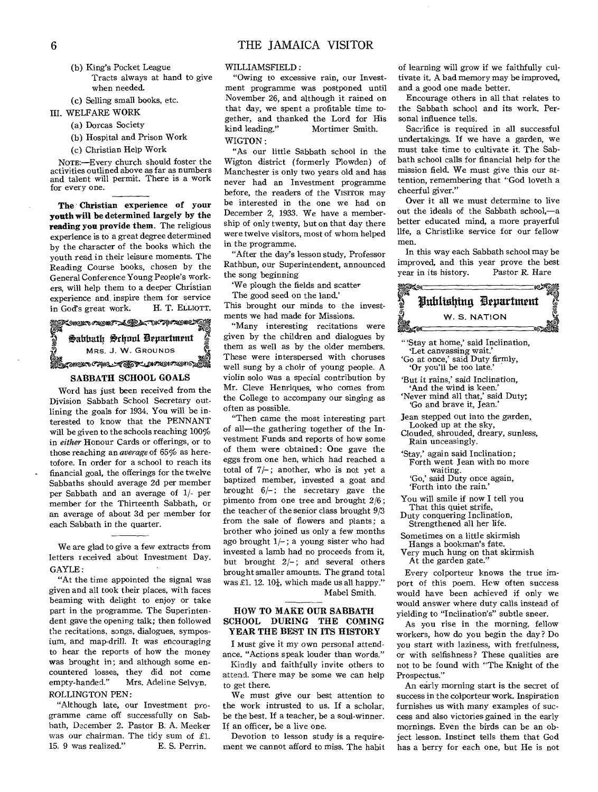(b) King's Pocket League Tracts always at hand to give when needed.

(c) Selling small books, etc.

- **III.** WELFARE WORK
	- (a) Dorcas Society
	- (b) Hospital and Prison Work
	- (c) Christian Help Work

NOTE:—Every church should foster the activities outlined above as far as numbers and talent will permit. There is a work for every one.

**The Christian experience of your youth will be determined largely by the reading you provide them.** The religious experience is to a great degree determined by the character of the books which the youth read in their leisure moments. The Reading Course books, chosen by the General Conference Young People's workers, will help them to a deeper Christian experience and, inspire them for service<br>in God's great work. H. T. ELLIOTT. in God's great work. your be interest<br>igious be interested<br>igious ship of only<br>mined were twelve<br>the in the program<br>is. The "After the<br>work." the song be-<br>interesting the song be-<br>intervice the good<br>LIOTT. This brough<br>ments we have "Many inter

 $\mathcal{L}$  . The straight  $\mathcal{L}$  of  $\mathcal{L}$  and  $\mathcal{L}$  and  $\mathcal{L}$ Sabbath School Department MRS. J. W. GROUNDS

# **one**<br>Abizoneen AMC-AFOR-DIACHAOHOREN

# **SABBATH SCHOOL GOALS**

Word has just been received from the Division Sabbath School Secretary outlining the goals for 1934. You will be interested to know that the PENNANT will be given to the schools reaching 100% in *either* Honour Cards or offerings, or to those reaching an *average* of 65% as heretofore. In order for a school to reach its financial goal, the offerings for the twelve Sabbaths should average 2d per member per Sabbath and an average of 1/- per member for the Thirteenth Sabbath, or an average of about 3d per member for each Sabbath in the quarter.

We are glad to give a few extracts from letters received about Investment Day. GAYLE:

"At the time appointed the signal was given and all took their places, with faces beaming with delight to enjoy or take part in the programme. The Superintendent gave the opening talk; then followed the recitations, songs, dialogues, symposium, and map-drill. It was encouraging to hear the reports of how the money was brought in; and although some encountered losses, they did not come<br>empty-handed." Mrs. Adeline Selvyn. Mrs. Adeline Selvyn. ROLLINGTON PEN:

"Although late, our Investment programme came off successfully on Sabbath, December 2. Pastor B. A. Meeker was our chairman. The tidy sum of £1.<br>15. 9 was realized." E. S. Perrin. 15. 9 was realized.'

# WILLIAMSFIELD:

"Owing to excessive rain, our Investment programme was postponed until November 26, and although it rained on that day, we spent a profitable time together, and thanked the Lord for His kind leading." Mortimer Smith. WIGTON :

"As our little Sabbath school in the Wigton district (formerly Plowden) of Manchester is only two years old and has never had an Investment programme before, the readers of the VISITOR may be interested in the one we had on December 2, 1933. We have a membership of only twenty, but on that day there were twelve visitors, most of whom helped in the programme.

"After the day's lesson study, Professor Rathbun, our Superintendent, announced the song beginning

'We plough the fields and scatter

The good seed on the land.'

This brought our minds to the investments we had made for Missions.

"Many interesting recitations were given by the children and dialogues by them as well as by the older members. These were interspersed with choruses well sung by a choir of young people. A violin solo was a special contribution by Mr. Cleve Henriques, who comes from the College to accompany our singing as often as possible.

"Then came the most interesting part of all—the gathering together of the Investment Funds and reports of how some of them were obtained: One gave the eggs from one hen, which had reached a total of  $7/-$ ; another, who is not yet a baptized member, invested a goat and brought 6/-; the secretary gave the pimento from one tree and brought 2/6; the teacher of the senior class brought 9/3 from the sale of flowers and plants; a brother who joined us only a few months ago brought  $1/-$ ; a young sister who had invested a lamb had no proceeds from it, but brought  $2/-$ ; and several others brought smaller amounts. The grand total was £1. 12.  $10\frac{1}{4}$ , which made us all happy." Mabel Smith.

# **HOW TO MAKE OUR SABBATH SCHOOL DURING THE COMING YEAR THE BEST IN ITS HISTORY**

**I** *Must give it* my own personal attendance. "Actions speak louder than words."

Kindly and faithfully invite others to attend. There may be some we can help to get there.

We must give our best attention to the work intrusted to us. If a scholar, be the best. If a teacher, be a soul-winner. If an officer, be a live one.

Devotion to lesson study is a requirement we cannot afford to miss. The habit of learning will grow if we faithfully cultivate it. A bad memory may be improved, and a good one made better.

Encourage others in all that relates to the Sabbath school and its work. Personal influence tells.

Sacrifice is required in all successful undertakings. If we have a garden, we must take time to cultivate it. The Sabbath school calls for financial help for the mission field. We must give this our attention, remembering that "God loveth a cheerful giver."

Over it all we must determine to live out the ideals of the Sabbath school,—a better educated mind, a more prayerful life, a Christlike service for our fellow men.

In this way each Sabbath school may be improved, and this year prove the best<br>vear in its history. Pastor R. Hare year in its history.



"'Stay at home,' said Inclination, `Let canvassing wait.'

`Go at once,' said Duty firmly, `Or you'll be too late.'

`But it rains,' said Inclination,

And the wind is keen. `Never mind all that,' said Duty;

`Go and brave it, Jean.'

Jean stepped out into the garden, Looked up at the sky,

Clouded, shrouded, dreary, sunless, Rain unceasingly.

'Stay,' again said Inclination; Forth went Jean with no more waiting. `Go,' said Duty once again,

`Forth into the rain.' You will smile if now I tell you

That this quiet strife, Duty conquering Inclination,

Strengthened all her life.

Sometimes on a little skirmish Hangs a bookman's fate.

Very much hung on that skirmish

At the garden gate."

Every colporteur knows the true import of this poem. Hew often success would have been achieved if only we would answer where duty calls instead of yielding to "Inclination's" subtle sneer.

As you rise in the morning, fellow workers, how do you begin the day? Do you start with laziness, with fretfulness, or with selfishness? These qualities are not to be found with "The Knight of the Prospectus."

An early morning start is the secret of success in the colporteur work. Inspiration furnishes us with many examples of success and also victories gained in the early mornings. Even the birds can be an object lesson. Instinct tells them that God has a berry for each one, but He is not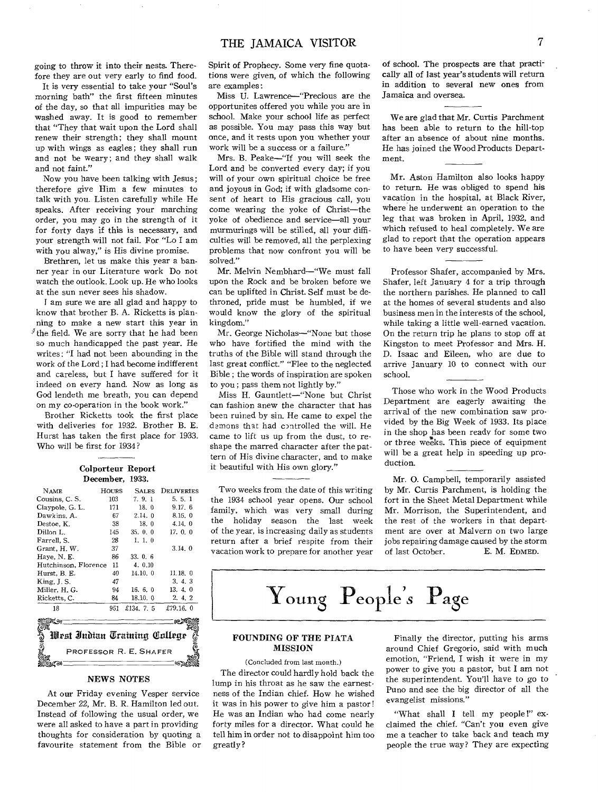going to throw it into their nests. Therefore they are out very early to find food.

It is very essential to take your "Soul's morning bath" the first fifteen minutes of the day, so that all impurities may be washed away. It is good to remember that "They that wait upon the Lord shall renew their strength; they shall mount up with wings as eagles; they shall run and not be weary; and they shall walk and not faint."

Now you have been talking with Jesus; therefore give Him a few minutes to talk with you. Listen carefully while He speaks. After receiving your marching order, you may go in the strength of it for forty days if this is necessary, and your strength will not fail. For "Lo I am with you aiway," is His divine promise.

Brethren, let us make this year a banner year in our Literature work Do not watch the outlook. Look up. He who looks at the sun never sees his shadow.

I am sure we are all glad and happy to know that brother B. A. Ricketts is planning to make a new start this year in  ${}^j$  the field. We are sorry that he had been so much handicapped the past year. He writes: "I had not been abounding in the work of the Lord ; I had become indifferent and careless, but I have suffered for it indeed on every hand. Now as long as God lendeth me breath, you can depend on my co-operation in the book work."

Brother Ricketts took the first place with deliveries for 1932. Brother B. E. Hurst has taken the first place for 1933. Who will be first for 1934?

| Colporteur Report    |       |                 |             |  |  |  |  |  |
|----------------------|-------|-----------------|-------------|--|--|--|--|--|
|                      |       | December, 1933. |             |  |  |  |  |  |
| <b>NAME</b>          | HOURS | <b>SALES</b>    | DELIVERIES  |  |  |  |  |  |
| Cousins, C.S.        | 103   | 7, 9, 1         | 5.5.1       |  |  |  |  |  |
| Claypole, G. L.      | 171   | 18.0            | 9.17.6      |  |  |  |  |  |
| Dawkins, A.          | 67    | 2.14.0          | 8.15.0      |  |  |  |  |  |
| Destoe. K.           | 38    | 18.0            | 4.14.0      |  |  |  |  |  |
| Dillon L.            | 145   | 35.0.0          | 17.0.0      |  |  |  |  |  |
| Farrell. S.          | 28    | 1, 1, 0         |             |  |  |  |  |  |
| Grant, H. W.         | 37    |                 | 3.14.0      |  |  |  |  |  |
| Haye, N.E.           | 86    | 33.06           |             |  |  |  |  |  |
| Hutchinson, Florence | 11    | 4.0.10          |             |  |  |  |  |  |
| Hurst, B. E.         | 40    | 14.10.0         | 11.18.0     |  |  |  |  |  |
| King, J. S.          | 47    |                 | 3.4.3       |  |  |  |  |  |
| Miller, H. G.        | 94    | 16.6.0          | 13.4.0      |  |  |  |  |  |
| Ricketts, C.         | 84    | 18.10. 0        | 2, 4, 2     |  |  |  |  |  |
| 18                   | 951   | £134, 7, 5      | £79.16. $0$ |  |  |  |  |  |
|                      |       |                 |             |  |  |  |  |  |

# West Indian Training College PROFESSOR R. E. SHAFER  $16311$

# NEWS NOTES

At our Friday evening Vesper service December 22, Mr. B. R. Hamilton led out. Instead of following the usual order, we were all asked to have a part in providing thoughts for consideration by quoting a favourite statement from the Bible or Spirit of Prophecy. Some very fine quotations were given, of which the following are examples:

Miss U. Lawrence-"Precious are the opportunites offered you while you are in school. Make your school life as perfect as possible. You may pass this way but once, and it rests upon you whether your work will be a success or a failure."

Mrs. B. Peake-"If you will seek the Lord and be converted every day; if you will of your own spiritual choice be free and joyous in God; if with gladsome consent of heart to His gracious call, you come wearing the yoke of Christ-the yoke of obedience and service-all your murmurings will be stilled, all your difficulties will be removed, all the perplexing problems that now confront you will be solved."

Mr. Melvin Nembhard-"We must fall upon the Rock and be broken before we can be uplifted in Christ. Self must be dethroned, pride must be humbled, if we would know the glory of the spiritual kingdom."

Mr. George Nicholas-"None but those who have fortified the mind with the truths of the Bible will stand through the last great conflict." "Flee to the neglected Bible ; the words of inspiration are spoken to you ; pass them not lightly by."

Miss H. Gauntlett-"None but Christ can fashion anew the character that has been ruined by sin. He came to expel the demons that had controlled the will. He came to lift us up from the dust, to re• shape the marred character after the pattern of His divine character, and to make it beautiful with His own glory."

Two weeks from the date of this writing the 1934 school year opens. Our school family, which was very small during the holiday season the last week of the year, is increasing daily as students return after a brief respite from their vacation work to prepare for another year

of school. The prospects are that practically all of last year's students will return in addition to several new ones from Jamaica and oversea.

We are glad that Mr. Curtis Parchment has been able to return to the hill-top after an absence of about nine months. He has joined the Wood Products Department.

Mr. Aston Hamilton also looks happy to return. He was obliged to spend his vacation in the hospital, at Black River, where he underwent an operation to the leg that was broken in April, 1932, and which refused to heal completely. We are glad to report that the operation appears to have been very successful.

Professor Shafer, accompanied by Mrs. Shafer, left January 4 for a trip through the northern parishes. He planned to call at the homes of several students and also business men in the interests of the school, while taking a little well-earned vacation. On the return trip he plans to stop off at Kingston to meet Professor and Mrs. H. D. Isaac and Eileen, who are due to arrive January 10 to connect with our school.

Those who work in the Wood Products Department are eagerly awaiting the arrival of the new combination saw provided by the Big Week of 1933. Its place in the shop has been ready for some two or three weeks. This piece of equipment will be a great help in speeding up production.

Mr. 0. Campbell, temporarily assisted by Mr. Curtis Parchment, is holding the fort in the Sheet Metal Department while Mr. Morrison, the Superintendent, and the rest of the workers in that depart. ment are over at Malvern on two large jobs repairing damage caused by the storm of last October. E. M. EDMED.

<sup>7</sup>Young People*s* Page

# FOUNDING OF THE PIATA MISSION

(Concluded from last month.)

The director could hardly hold back the lump in his throat as he saw the earnestness of the Indian chief. How he wished it was in his power to give him a pastor! He was an Indian who had come nearly forty miles for a director. What could he tell him in order not to disappoint him too greatly?

Finally the director, putting his arms around Chief Gregorio, said with much emotion, "Friend, I wish it were in my power to give you a pastor, but I am not the superintendent. You'll have to go to Puno and see the big director of all the evangelist missions."

"What shall I tell my people!" exclaimed the chief. "Can't you even give me a teacher to take back and teach my people the true way? They are expecting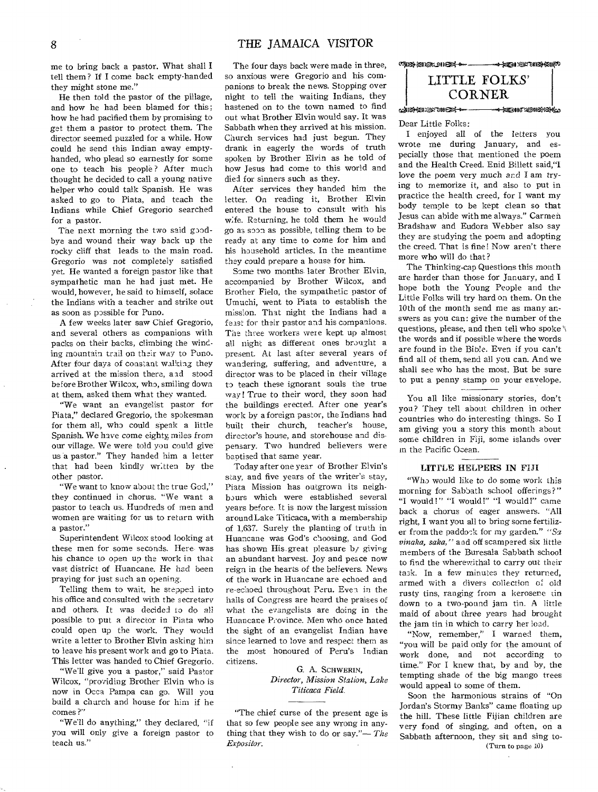me to bring back a pastor. What shall I tell them ? If I come back empty-handed they might stone me."

He then told the pastor of the pillage, and how he had been blamed for this ; how he had pacified them by promising to get them a pastor to protect them. The director seemed puzzled for a while. How could he send this Indian away emptyhanded, who plead so earnestly for some one to teach his people ? After much thought he decided to call a young native helper who could talk Spanish. He was asked to go to Piata, and teach the Indians while Chief Gregorio searched for a pastor.

The next morning the two said goodbye and wound their way back up the rocky cliff that leads to the main road. Gregorio was not completely satisfied yet. He wanted a foreign pastor like that sympathetic man he had just met. He would, however, he said to himself, solace the Indians with a teacher and strike out as soon as possible for Puno.

A few weeks later saw Chief Gregorio, and several others as companions with packs on their backs, climbing the winding mountain trail on their way to Puno. After four days of constant walking they arrived at the mission there, and stood before Brother Wilcox, who, smiling down at them, asked them what they wanted.

"We want an evangelist pastor for Plata," declared Gregorio, the spokesman for them all, who could speak a little Spanish. We have come eighty, miles from our village. We were told you could give us a pastor." They handed him a letter that had been kindly written by the other pastor.

"We want to know about the true God," they continued in chorus. "We want a pastor to teach us. Hundreds of men and women are waiting for us to return with a pastor."

Superintendent Wilcox stood looking at these men for some seconds. Here, was his chance to open up the work in that vast district of Huancane. He had been praying for just such an opening.

Telling them to wait, he stepped into his office and consulted with the secretary and others. It was decided to do all possible to put a director in Plata who could open up the work. They would write a letter to Brother Elvin asking him to leave his present work and go to Piata. This letter was handed to Chief Gregorio.

"We'll give you a pastor," said Pastor Wilcox, "providing Brother Elvin who is now in Occa Pampa can go. Will you build a church and house for him if he comes ?"

"We'll do anything," they declared, "if you will only give a foreign pastor to teach us."

The four days back were made in three, so anxious were Gregorio and his companions to break the news. Stopping over night to tell the waiting Indians, they hastened on to the town named to find out what Brother Elvin would say. It was Sabbath when they arrived at his mission. Church services had just begun. They drank in eagerly the words of truth spoken by Brother Elvin as he told of how Jesus had come to this world and died for sinners such as they.

After services they handed him the letter. On reading it, Brother Elvin entered the house to consult with his wife. Returning, he told them he would go as soon as possible, telling them to be ready at any time to come for him and his household articles. In the meantime they could prepare a house for him.

Some two months- later Brother Elvin, accompanied by Brother Wilcox, and Brother Fiela, the sympathetic pastor of Umuchi, went to Piata to establish the mission. That night the Indians had a feast for their pastor and his companions. The three workers were kept up almost all night as different ones brought a present. At last after several years of wandering, suffering, and adventure, a director was to be placed in their village to teach these ignorant souls the true way! True to their word, they soon had the buildings erected. After one year's work by a foreign pastor, the Indians had built their church, teacher's house, director's house, and storehouse and dispensary. Two hundred believers were baptised that same year.

Today after one year of Brother Elvin's stay, and five years of the writer's stay, Piata Mission has outgrown its neighbours which were established several years before. It is now the largest mission around Lake Titicaca, with a membership of 1,637. Surely the planting of truth in Huancane was God's choosing, and God has shown His. great pleasure by giving an abundant harvest. Joy and peace now reign in the hearts of the believers. News of the work in Huancane are echoed and re-echoed throughout Peru. Even in the halls of Congress are heard the praises of what the evangelists are doing in the Huancane Province. Men who once hated the sight of an evangelist Indian have since learned to love and respect them as the most honoured of Peru's Indian citizens.

> G. A. SCHWERIN, *Director, Mission Station, Lake Titicaca Field.*

"The chief curse of the present age is that so few people see any wrong in anything that they wish to do or say."— *The Expositor.* 

**CHICA SHARL 211023 4 000 ----**—<del>…4 ken</del>:@23016949169 LITTLE FOLKS' CORNER c4.1 ]\*\*8:@?Rtor--0 -4-1=oaTU.9amicx.oka

#### Dear Little Folks:

I enjoyed all of the letters you wrote me during January, and especially those that mentioned the poem and the Health Creed. Enid Billett said,"I love the poem very much and I am trying to memorize it, and also to put in practice the health creed, for I want my body temple to be kept clean so that Jesus can abide with me always." Carmen Bradshaw and Eudora Webber also say they are studying the poem and adopting the creed. That is fine! Now aren't there more who will do that?

The Thinking-cap Questions this month are harder than those for January, and I hope both the Young People and the Little Folks will try hard on them. On the 10th of the month send me as many answers as you can: give the number of the questions, please, and then tell who spoke's the words and if possible where the words are found in the Bible. Even if you can't find all of them, send all you can. And we shall see who has the most. But be sure to put a penny stamp on your envelope.

You all like missionary stories, don't you? They tell about children in other countries who do interesting things. So I am giving you a story this month about some children in Fiji, some islands over in the Pacific Ocean.

# LITTLE HELPERS IN FIJI

"Who would like to do some work this morning for Sabbath school offerings?" "I would!" "I would!" "I would!" came back a chorus of eager answers. "All right, I want you all to bring some fertilizer from the paddock for my garden." *"Sa vinaka, sake,"* and off scampered six little members of the Buresala Sabbath school to find the wherewithal to carry out their task. In a few minutes they returned, armed with a divers collection of old rusty tins, ranging from a kerosene tin down to a two-pound jam tin. A little maid of about three years had brought the jam tin in which to carry her load.

"Now, remember," I warned them, "you will be paid only for the amount of work done, and not according to time." For I knew that, by and by, the tempting shade of the big mango trees would appeal to some of them.

Soon the harmonious strains of "On Jordan's Stormy Banks" came floating up the hill. These little Fijian children are very fond of singing, and often, on a Sabbath afternoon, they sit and sing to- (Turn to page 10)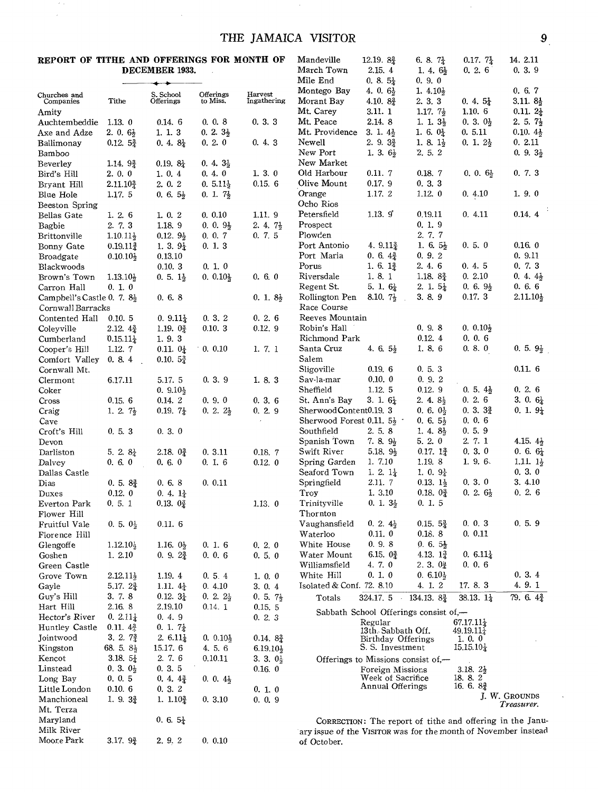# THE JAMAICA VISITOR 9

# **REPORT OF TITHE AND OFFERINGS FOR MONTH OF DECEMBER 1933.**

 $\epsilon$  .  $\bar{\bar{z}}$ 

|                            |                       | DECEMBER 1933.         |                       |                        | March Town<br>Mile End                                         | 2.15.4                                     | 1. 4. $6\frac{1}{2}$<br>0.9.0         | 0.2.6                             | 0, 3, 9                                                   |
|----------------------------|-----------------------|------------------------|-----------------------|------------------------|----------------------------------------------------------------|--------------------------------------------|---------------------------------------|-----------------------------------|-----------------------------------------------------------|
|                            |                       |                        |                       |                        | Montego Bay                                                    | $0.8.5\frac{1}{4}$<br>4. 0. $6\frac{1}{2}$ | 1. $4.10\frac{1}{2}$                  |                                   | 0.6.7                                                     |
| Churches and<br>Companies  | Tithe                 | S. School<br>Offerings | Offerings<br>to Miss. | Harvest<br>Ingathering | Morant Bay                                                     | 4.10. $8\frac{3}{4}$                       | 2. 3. 3                               | $0.4.5\frac{1}{4}$                | $3.11.8\frac{1}{2}$                                       |
| Amity                      |                       |                        |                       |                        | Mt. Carey                                                      | 3.11. 1                                    | 1.17. $7\frac{1}{2}$                  | 1.10.6                            | $0.11.2\frac{1}{4}$                                       |
| Auchtembeddie              | 1.13.0                | 0.14.6                 | 0, 0, 8               | 0.3.3                  | Mt. Peace                                                      | 2.14.8                                     | 1. 1. $3\frac{1}{2}$                  | $0, 3, 0\frac{1}{2}$              | 2. 5. $7\frac{1}{2}$                                      |
| Axe and Adze               | 2. 0. $6\frac{1}{2}$  | 1. 1. 3                | $0.2.3\frac{1}{2}$    |                        | Mt. Providence                                                 | 3. 1. $4\frac{1}{2}$                       | 1. 6. $0\frac{1}{4}$                  | 0.5.11                            | $0.10.4\frac{1}{2}$                                       |
| Ballimonav                 | 0.12.52               | $0.4.8\frac{1}{4}$     | 0.2.0                 | 0.4.3                  | Newell                                                         | $2.9.3\frac{3}{2}$                         | 1. 8. $1\frac{1}{2}$                  | $0, 1, 2\frac{1}{2}$              | 0.2.11                                                    |
| Bamboo                     |                       |                        |                       |                        | New Port                                                       | 1. 3. $6\frac{1}{2}$                       | 2, 5, 2                               |                                   | $0.9.3\frac{1}{2}$                                        |
| Beverley                   | 1.14.92               | $0.19.8\}$             | $0.4.3\frac{1}{2}$    |                        | New Market                                                     |                                            |                                       |                                   |                                                           |
| Bird's Hill                | 2.0.0                 | 1.0.4                  | 0.4.0                 | 1.3.0                  | Old Harbour                                                    | 0.11.7                                     | 0.18.7                                | $0, 0, 6\}$                       | 0, 7, 3                                                   |
| Bryant Hill                | $2.11.10\frac{3}{4}$  | 2.0.2                  | $0.5.11\frac{1}{2}$   | 0.15.6                 | Olive Mount                                                    | 0.17.9                                     | 0.3.3                                 |                                   |                                                           |
| Blue Hole                  | 1.17.5                | $0, 6, 5\frac{1}{2}$   | $0.1.7\frac{1}{2}$    |                        | Orange                                                         | 1.17.2                                     | 1.12.0                                | 0.4.10                            | 1.9.0                                                     |
| Beeston Spring             |                       |                        |                       |                        | Ocho Rios                                                      |                                            |                                       |                                   |                                                           |
| <b>Bellas Gate</b>         | 1.2.6                 | 1, 0, 2                | 0.0.10                | 1.11.9                 | Petersfield                                                    | 1.13.9                                     | 0.19.11                               | 0.4.11                            | 0.14.4                                                    |
| Bagbie                     | 2. 7. 3               | 1.18.9                 | $0.0.9\frac{1}{2}$    | $2.4.7\frac{1}{2}$     | Prospect                                                       |                                            | 0.1.9                                 |                                   |                                                           |
| <b>Brittonville</b>        | $1.10.11\frac{1}{2}$  | $0.12.9\frac{1}{2}$    | 0, 0, 7               | 0.7.5                  | Plowden                                                        |                                            | 2. 7. 7                               |                                   |                                                           |
| Bonny Gate                 | $0.19.11\frac{3}{2}$  | 1. 3. $9\frac{1}{4}$   | 0, 1, 3               |                        | Port Antonio                                                   | 4. $9.11\frac{3}{4}$                       | 1, 6, $5\frac{1}{2}$                  | 0.5.0                             | 0.16.0                                                    |
| Broadgate                  | $0.10.10\frac{1}{2}$  | 0.13.10                |                       |                        | Port Maria                                                     | $0.6.4\frac{3}{4}$                         | 0, 9, 2                               |                                   | 0.9.11                                                    |
| Blackwoods                 |                       | 0.10.3                 | 0, 1, 0               |                        | Porus                                                          | $1.6.1\frac{3}{4}$                         | 2.4.6                                 | 0.4.5                             | 0, 7, 3                                                   |
| Brown's Town               | $1.13.10\frac{1}{2}$  | $0.5.1\frac{1}{2}$     | $0.0.10\}$            | 0.60                   | Riversdale                                                     | 1.8.1                                      | 1.18. $8\frac{3}{4}$                  | 0.2.10                            | $0.4.4\}$                                                 |
| Carron Hall                | 0, 1, 0               |                        |                       |                        | Regent St.                                                     | 5. 1. $6\frac{1}{4}$                       | 2. 1. $5\frac{1}{4}$                  | $0, 6, 9\frac{1}{2}$              | 0.66                                                      |
| Campbell's Castle 0. 7. 8} |                       | 0.6.8                  |                       | $0.1.8\frac{1}{2}$     | Rollington Pen                                                 | $8.10, 7\frac{1}{2}$                       | 3.8.9<br>÷.                           | 0.17.3                            | $2.11.10\frac{1}{2}$                                      |
| Cornwall Barracks          |                       |                        |                       |                        | Race Course                                                    |                                            |                                       |                                   |                                                           |
| Contented Hall             | 0.10.5                | $0.9.11\frac{1}{4}$    | 0.3.2                 | 0.2.6                  | Reeves Mountain                                                |                                            |                                       |                                   |                                                           |
| Coleyville                 | $2.12.4\frac{3}{4}$   | 1.19. $0\frac{3}{4}$   | 0.10.3                | 0.12.9                 | Robin's Hall                                                   |                                            | 0, 9, 8                               | $0.0.10\frac{1}{2}$               |                                                           |
| Cumberland                 | $0.15.11\frac{1}{4}$  | 1.9.3                  |                       |                        | Richmond Park                                                  |                                            | 0.12.4                                | 0, 0, 6                           |                                                           |
| Cooper's Hill              | 1.12.7                | $0.11.~0\frac{1}{4}$   | 0.0.10                | 1. 7. 1                | Santa Cruz                                                     | 4. 6. $5\frac{1}{2}$                       | 1.8.6                                 | 0, 8, 0                           | $0.5.9\frac{1}{2}$                                        |
| Comfort Valley             | 0, 8, 4               | 0.10.52                |                       |                        | Salem                                                          |                                            |                                       |                                   |                                                           |
| Cornwall Mt.               |                       |                        |                       |                        | Sligoville                                                     | 0.19.6                                     | 0, 5, 3                               |                                   | 0.11.6                                                    |
| Clermont                   | 6.17.11               | 5.17. 5                | 0, 3, 9               | 1. 8. 3                | Sav-la-mar                                                     | 0.10.0                                     | 0.9.2                                 |                                   |                                                           |
| Coker                      |                       | $0.9.10\frac{1}{2}$    |                       |                        | Sheffield                                                      | 1.12. 5                                    | 0.12.9                                | $0.5.4\frac{1}{2}$                | 0.2.6                                                     |
| Cross                      | 0.15.6                | 0.14.2                 | 0.9.0                 | 0.36                   | St. Ann's Bay                                                  | 3. 1. $6\frac{1}{4}$                       | $2.4.8\frac{1}{2}$                    | 0.2.6                             | 3. 0. $6\frac{1}{4}$                                      |
| Craig                      | 1. 2. $7\frac{1}{2}$  | 0.19. $7\frac{1}{4}$   | $0.2.2\}$             | 0, 2, 9                | Sherwood Content 0.19. 3                                       |                                            | $0.6.0\frac{1}{2}$                    | $0.3.3_{2}^{3}$                   | $0.1.9\pm$                                                |
| Cave                       |                       |                        |                       |                        | Sherwood Forest 0.11. $5\frac{1}{2}$ .                         |                                            | $0.6.5\frac{1}{2}$                    | 0, 0, 6                           |                                                           |
| Croft's Hill               | 0, 5, 3               | 0.3.0                  |                       |                        | Southfield                                                     | 2. 5. 8                                    | 1. 4. $8\frac{1}{2}$                  | 0, 5, 9                           |                                                           |
| Devon                      |                       |                        |                       |                        | Spanish Town                                                   | 7. 8. $9\frac{1}{2}$                       | 5.2.0                                 | 2. 7. 1                           | 4.15. $4\frac{1}{2}$                                      |
| Darliston                  | 5. 2. $8\frac{1}{4}$  | 2.18.02                | 0.3.11                | 0.18.7                 | Swift River                                                    | 5.18. 9 $\frac{1}{2}$                      | $0.17.1\frac{3}{4}$                   | 0, 3, 0                           | $0.6.6\frac{1}{4}$                                        |
| Dalvey                     | 0, 6, 0               | 0, 6, 0                | 0.16                  | 0.12.0                 | Spring Garden                                                  | 1. 7.10                                    | 1.19.8                                | 1. 9. $6$                         | $1.11.1\frac{1}{2}$                                       |
| Dallas Castle              |                       |                        |                       |                        | Seaford Town                                                   | 1. 2. $1\frac{1}{4}$                       | 1. 0. $9\frac{1}{4}$                  |                                   | 0.3.0                                                     |
| Dias                       | $0.5.8\frac{3}{4}$    | 0, 6, 8                | 0.0.11                |                        | Springfield                                                    | 2.11.7                                     | $0.13.1\frac{1}{2}$                   | 0, 3, 0                           | 3.4.10                                                    |
| Duxes                      | 0.12.0                | 0. 4. $1\frac{1}{4}$   |                       |                        | Troy                                                           | 1. 3.10                                    | $0.18.0\frac{3}{4}$                   | $0, 2, 6\frac{1}{2}$              | 0, 2, 6                                                   |
| Everton Park               | 0, 5, 1               | $0.13.0\frac{3}{4}$    |                       | 1.13.0                 | Trinityville                                                   | $0.1.3\frac{1}{2}$                         | 0.1.5                                 |                                   |                                                           |
| Flower Hill                |                       |                        |                       |                        | Thornton                                                       |                                            |                                       |                                   |                                                           |
| Fruitful Vale              | $0, 5, 0\frac{1}{2}$  | 0.11.6                 |                       |                        | Vaughansfield                                                  | $0, 2, 4\frac{1}{2}$                       | $0.15.5_{2}^{3}$                      | 0, 0, 3                           | 0, 5, 9                                                   |
| Florence Hill              |                       |                        |                       |                        | Waterloo                                                       | 0.11.0                                     | 0.18.8                                | 0.0.11                            |                                                           |
| Glengoffe                  | $1.12.10\frac{1}{2}$  | 1.16. $0\frac{1}{2}$   | 0.16                  | 0, 2, 0                | White House                                                    | 0.9.8                                      | $0.6.5\frac{1}{2}$                    |                                   |                                                           |
| Goshen                     | 1. 2.10               | $0.9.2\frac{3}{4}$     | 0, 0, 6               | 0.5.0                  | Water Mount                                                    | 6.15. $0\frac{3}{4}$                       | 4.13. $1\frac{3}{4}$                  | $0.6.11\frac{1}{4}$               |                                                           |
| Green Castle               |                       |                        |                       |                        | Williamsfield                                                  | 4.7.0                                      | $2.3.0\frac{3}{4}$                    | 0, 0, 6                           |                                                           |
| Grove Town                 | $2.12.11\frac{1}{2}$  | 1.19.4                 | 0, 5, 4               | 1.0.0                  | White Hill                                                     | 0.1.0                                      | 0. $6.10\frac{1}{2}$                  |                                   | 0.3.4                                                     |
| Gayle                      | 5.17. $2\frac{3}{4}$  | 1.11. $4\frac{1}{4}$   | 0.4.10                | 3.0.4                  | Isolated & Conf. 72. 8.10                                      |                                            | 4. 1. 2                               | 17.8.3                            | 4. 9. 1                                                   |
| Guy's Hill                 | 3.7.8                 | $0.12.3\frac{1}{4}$    | 0. 2. $2\frac{1}{2}$  | $0.5.7\frac{1}{2}$     | Totals                                                         | 324.17.5                                   | 134.13.82                             | 38.13. $1\frac{1}{4}$             | 79. 6. $4\frac{3}{4}$                                     |
| Hart Hill                  | 2.16.8                | 2.19.10                | 0.14.1                | 0.15, 5                |                                                                |                                            | Sabbath School Offerings consist of,- |                                   |                                                           |
| Hector's River             | $0, 2.11\frac{1}{4}$  | 0, 4, 9                |                       | 0.2.3                  |                                                                | Regular                                    |                                       | $67.17.11\frac{1}{4}$             |                                                           |
| Huntley Castle             | $0.11.4\frac{3}{2}$   | 0. 1. $7\frac{1}{4}$   |                       |                        |                                                                | 13th. Sabbath Off.                         |                                       | $49.19.11\frac{1}{4}$             |                                                           |
| Jointwood                  | 3. 2. $7\frac{3}{4}$  | 2. $6.11\frac{1}{4}$   | $0.0.10\frac{1}{2}$   | $0.14.8\frac{3}{4}$    |                                                                | Birthday Offerings                         |                                       | 1, 0, 0                           |                                                           |
| Kingston                   | 68. 5. $8\frac{1}{2}$ | 15.17. 6               | 4.5.6                 | $6.19.10\frac{1}{2}$   |                                                                | S. S. Investment                           |                                       | $15.15.10\frac{1}{4}$             |                                                           |
| Kencot                     | 3.18. $5\frac{1}{4}$  | 2. 7. 6                | 0.10.11               | 3. 3. $0\frac{1}{2}$   |                                                                |                                            | Offerings to Missions consist of.—    |                                   |                                                           |
| Linstead                   | $0, 3, 0\}$           | 0.3.5                  |                       | 0.16.0                 |                                                                | Foreign Missions                           |                                       | 3.18. $2\frac{1}{2}$              |                                                           |
| Long Bay                   | 0, 0, 5               | $0, 4, 4\frac{3}{4}$   | $0.0.4\frac{1}{2}$    |                        |                                                                | Week of Sacrifice<br>Annual Offerings      |                                       | 18, 8, 2<br>16. 6. $8\frac{3}{4}$ |                                                           |
| Little London              | 0.10.6                | 0, 3, 2                |                       | 0, 1, 0                |                                                                |                                            |                                       |                                   | J. W. Grounds                                             |
| Manchioneal                | 1. 9. $3\frac{3}{4}$  | 1. $1.10\frac{3}{4}$   | 0.3.10                | 0.0.9                  |                                                                |                                            |                                       |                                   | Treasurer.                                                |
| Mt. Terza                  |                       |                        |                       |                        |                                                                |                                            |                                       |                                   |                                                           |
| Maryland<br>Milk River     |                       | $0, 6, 5\frac{1}{4}$   |                       |                        |                                                                |                                            |                                       |                                   | CORRECTION: The report of tithe and offering in the Janu- |
| Moore Park                 | 3.17. $9\frac{3}{4}$  | 2.9, 2                 | 0.0.10                |                        | ary issue of the VISITOR was for the month of November instead |                                            |                                       |                                   |                                                           |
|                            |                       |                        |                       |                        | of October.                                                    |                                            |                                       |                                   |                                                           |

Mandeville 12.19.  $8\frac{3}{4}$  6. 8.  $7\frac{1}{4}$  0.17.  $7\frac{1}{4}$  14. 2.11